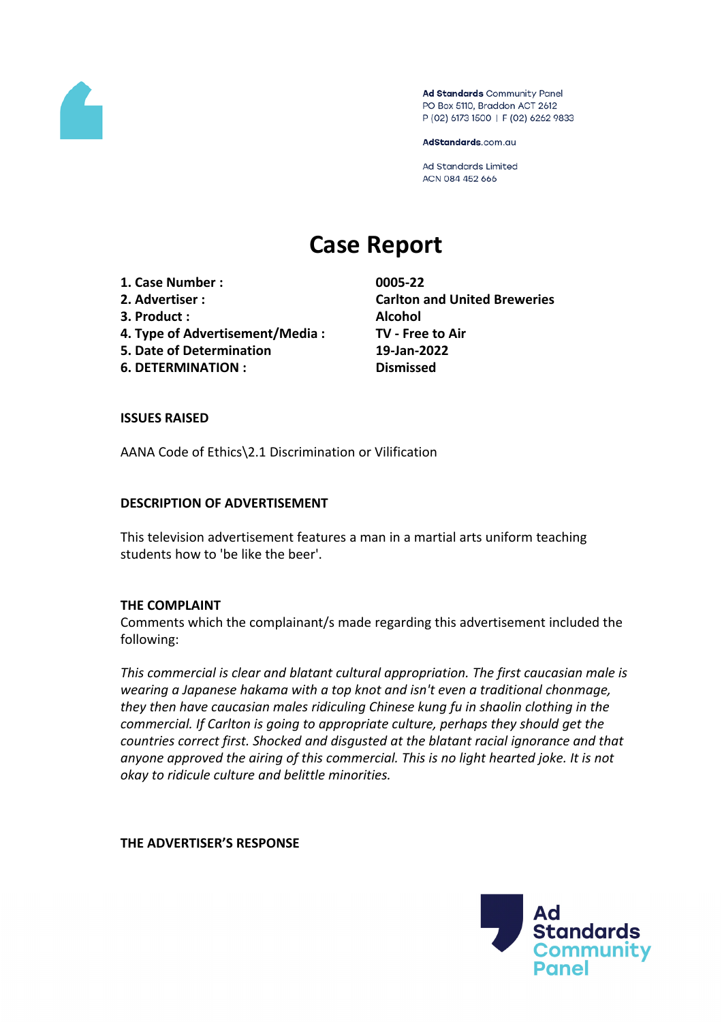

Ad Standards Community Panel PO Box 5110, Braddon ACT 2612 P (02) 6173 1500 | F (02) 6262 9833

AdStandards.com.au

Ad Standards Limited ACN 084 452 666

# **Case Report**

**1. Case Number : 0005-22**

- 
- **3. Product : Alcohol**
- **4. Type of Advertisement/Media : TV - Free to Air**
- **5. Date of Determination 19-Jan-2022**
- **6. DETERMINATION : Dismissed**

**2. Advertiser : Carlton and United Breweries**

## **ISSUES RAISED**

AANA Code of Ethics\2.1 Discrimination or Vilification

# **DESCRIPTION OF ADVERTISEMENT**

This television advertisement features a man in a martial arts uniform teaching students how to 'be like the beer'.

## **THE COMPLAINT**

Comments which the complainant/s made regarding this advertisement included the following:

*This commercial is clear and blatant cultural appropriation. The first caucasian male is wearing a Japanese hakama with a top knot and isn't even a traditional chonmage, they then have caucasian males ridiculing Chinese kung fu in shaolin clothing in the commercial. If Carlton is going to appropriate culture, perhaps they should get the countries correct first. Shocked and disgusted at the blatant racial ignorance and that anyone approved the airing of this commercial. This is no light hearted joke. It is not okay to ridicule culture and belittle minorities.*

## **THE ADVERTISER'S RESPONSE**

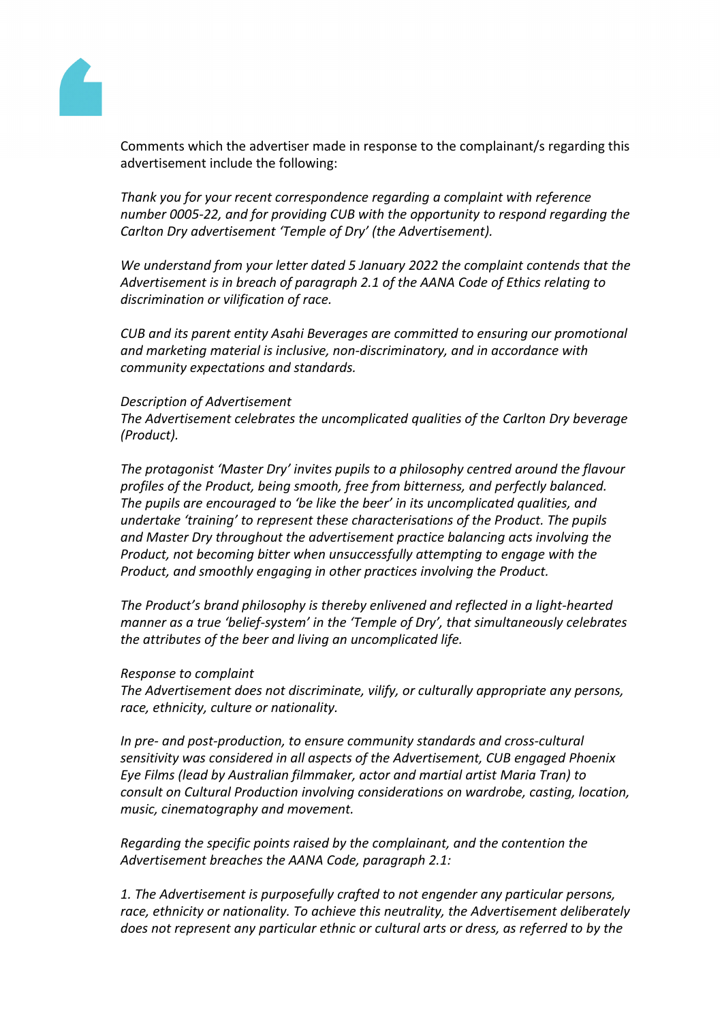

Comments which the advertiser made in response to the complainant/s regarding this advertisement include the following:

*Thank you for your recent correspondence regarding a complaint with reference number 0005-22, and for providing CUB with the opportunity to respond regarding the Carlton Dry advertisement 'Temple of Dry' (the Advertisement).*

*We understand from your letter dated 5 January 2022 the complaint contends that the Advertisement is in breach of paragraph 2.1 of the AANA Code of Ethics relating to discrimination or vilification of race.*

*CUB and its parent entity Asahi Beverages are committed to ensuring our promotional and marketing material is inclusive, non-discriminatory, and in accordance with community expectations and standards.*

#### *Description of Advertisement*

*The Advertisement celebrates the uncomplicated qualities of the Carlton Dry beverage (Product).*

*The protagonist 'Master Dry' invites pupils to a philosophy centred around the flavour profiles of the Product, being smooth, free from bitterness, and perfectly balanced. The pupils are encouraged to 'be like the beer' in its uncomplicated qualities, and undertake 'training' to represent these characterisations of the Product. The pupils and Master Dry throughout the advertisement practice balancing acts involving the Product, not becoming bitter when unsuccessfully attempting to engage with the Product, and smoothly engaging in other practices involving the Product.*

*The Product's brand philosophy is thereby enlivened and reflected in a light-hearted manner as a true 'belief-system' in the 'Temple of Dry', that simultaneously celebrates the attributes of the beer and living an uncomplicated life.*

#### *Response to complaint*

*The Advertisement does not discriminate, vilify, or culturally appropriate any persons, race, ethnicity, culture or nationality.* 

*In pre- and post-production, to ensure community standards and cross-cultural sensitivity was considered in all aspects of the Advertisement, CUB engaged Phoenix Eye Films (lead by Australian filmmaker, actor and martial artist Maria Tran) to consult on Cultural Production involving considerations on wardrobe, casting, location, music, cinematography and movement.*

*Regarding the specific points raised by the complainant, and the contention the Advertisement breaches the AANA Code, paragraph 2.1:*

*1. The Advertisement is purposefully crafted to not engender any particular persons, race, ethnicity or nationality. To achieve this neutrality, the Advertisement deliberately does not represent any particular ethnic or cultural arts or dress, as referred to by the*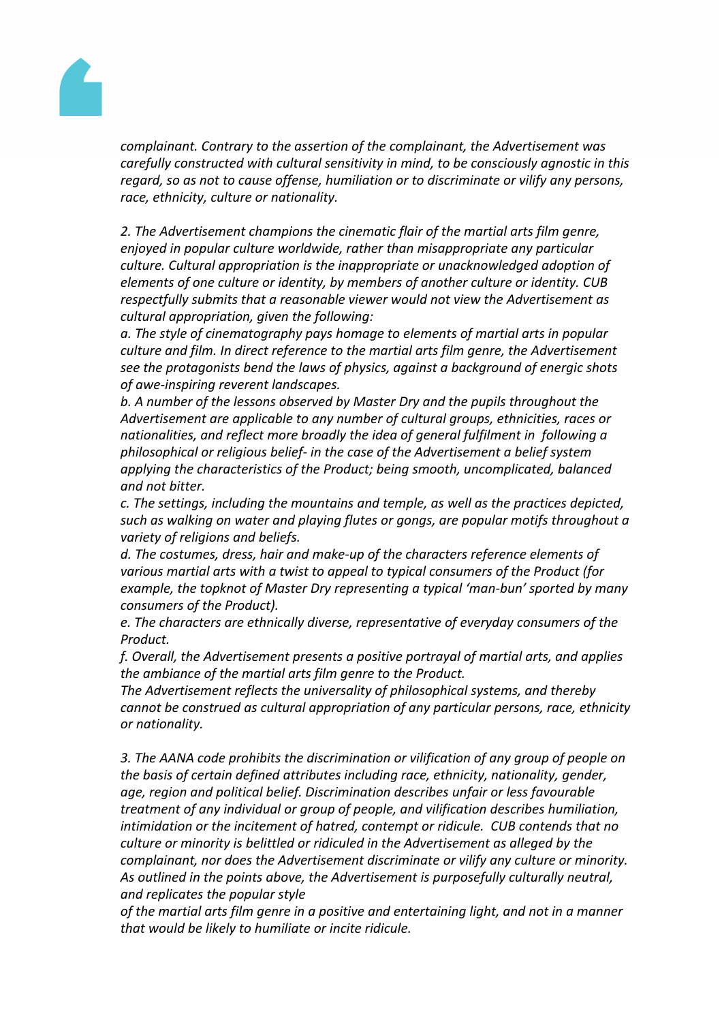

*complainant. Contrary to the assertion of the complainant, the Advertisement was carefully constructed with cultural sensitivity in mind, to be consciously agnostic in this regard, so as not to cause offense, humiliation or to discriminate or vilify any persons, race, ethnicity, culture or nationality.*

*2. The Advertisement champions the cinematic flair of the martial arts film genre, enjoyed in popular culture worldwide, rather than misappropriate any particular culture. Cultural appropriation is the inappropriate or unacknowledged adoption of elements of one culture or identity, by members of another culture or identity. CUB respectfully submits that a reasonable viewer would not view the Advertisement as cultural appropriation, given the following:*

*a. The style of cinematography pays homage to elements of martial arts in popular culture and film. In direct reference to the martial arts film genre, the Advertisement see the protagonists bend the laws of physics, against a background of energic shots of awe-inspiring reverent landscapes.*

*b. A number of the lessons observed by Master Dry and the pupils throughout the Advertisement are applicable to any number of cultural groups, ethnicities, races or nationalities, and reflect more broadly the idea of general fulfilment in following a philosophical or religious belief- in the case of the Advertisement a belief system applying the characteristics of the Product; being smooth, uncomplicated, balanced and not bitter.*

*c. The settings, including the mountains and temple, as well as the practices depicted, such as walking on water and playing flutes or gongs, are popular motifs throughout a variety of religions and beliefs.*

*d. The costumes, dress, hair and make-up of the characters reference elements of various martial arts with a twist to appeal to typical consumers of the Product (for example, the topknot of Master Dry representing a typical 'man-bun' sported by many consumers of the Product).*

*e. The characters are ethnically diverse, representative of everyday consumers of the Product.*

*f. Overall, the Advertisement presents a positive portrayal of martial arts, and applies the ambiance of the martial arts film genre to the Product.*

*The Advertisement reflects the universality of philosophical systems, and thereby cannot be construed as cultural appropriation of any particular persons, race, ethnicity or nationality.*

*3. The AANA code prohibits the discrimination or vilification of any group of people on the basis of certain defined attributes including race, ethnicity, nationality, gender, age, region and political belief. Discrimination describes unfair or less favourable treatment of any individual or group of people, and vilification describes humiliation, intimidation or the incitement of hatred, contempt or ridicule. CUB contends that no culture or minority is belittled or ridiculed in the Advertisement as alleged by the complainant, nor does the Advertisement discriminate or vilify any culture or minority. As outlined in the points above, the Advertisement is purposefully culturally neutral, and replicates the popular style*

*of the martial arts film genre in a positive and entertaining light, and not in a manner that would be likely to humiliate or incite ridicule.*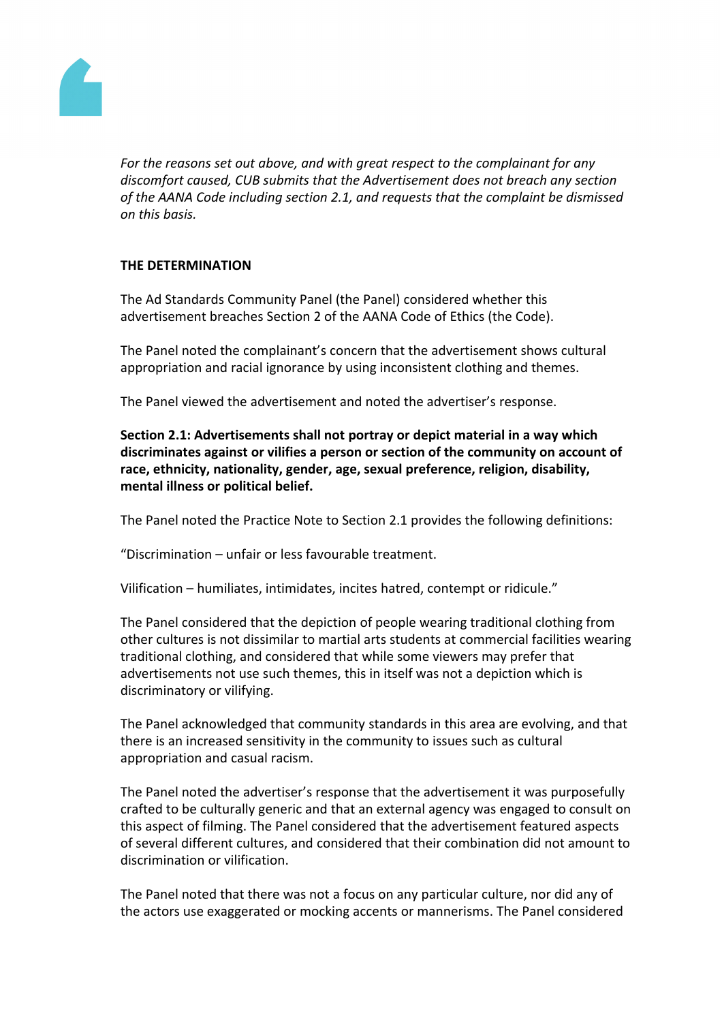

*For the reasons set out above, and with great respect to the complainant for any discomfort caused, CUB submits that the Advertisement does not breach any section of the AANA Code including section 2.1, and requests that the complaint be dismissed on this basis.*

# **THE DETERMINATION**

The Ad Standards Community Panel (the Panel) considered whether this advertisement breaches Section 2 of the AANA Code of Ethics (the Code).

The Panel noted the complainant's concern that the advertisement shows cultural appropriation and racial ignorance by using inconsistent clothing and themes.

The Panel viewed the advertisement and noted the advertiser's response.

**Section 2.1: Advertisements shall not portray or depict material in a way which discriminates against or vilifies a person or section of the community on account of race, ethnicity, nationality, gender, age, sexual preference, religion, disability, mental illness or political belief.**

The Panel noted the Practice Note to Section 2.1 provides the following definitions:

"Discrimination – unfair or less favourable treatment.

Vilification – humiliates, intimidates, incites hatred, contempt or ridicule."

The Panel considered that the depiction of people wearing traditional clothing from other cultures is not dissimilar to martial arts students at commercial facilities wearing traditional clothing, and considered that while some viewers may prefer that advertisements not use such themes, this in itself was not a depiction which is discriminatory or vilifying.

The Panel acknowledged that community standards in this area are evolving, and that there is an increased sensitivity in the community to issues such as cultural appropriation and casual racism.

The Panel noted the advertiser's response that the advertisement it was purposefully crafted to be culturally generic and that an external agency was engaged to consult on this aspect of filming. The Panel considered that the advertisement featured aspects of several different cultures, and considered that their combination did not amount to discrimination or vilification.

The Panel noted that there was not a focus on any particular culture, nor did any of the actors use exaggerated or mocking accents or mannerisms. The Panel considered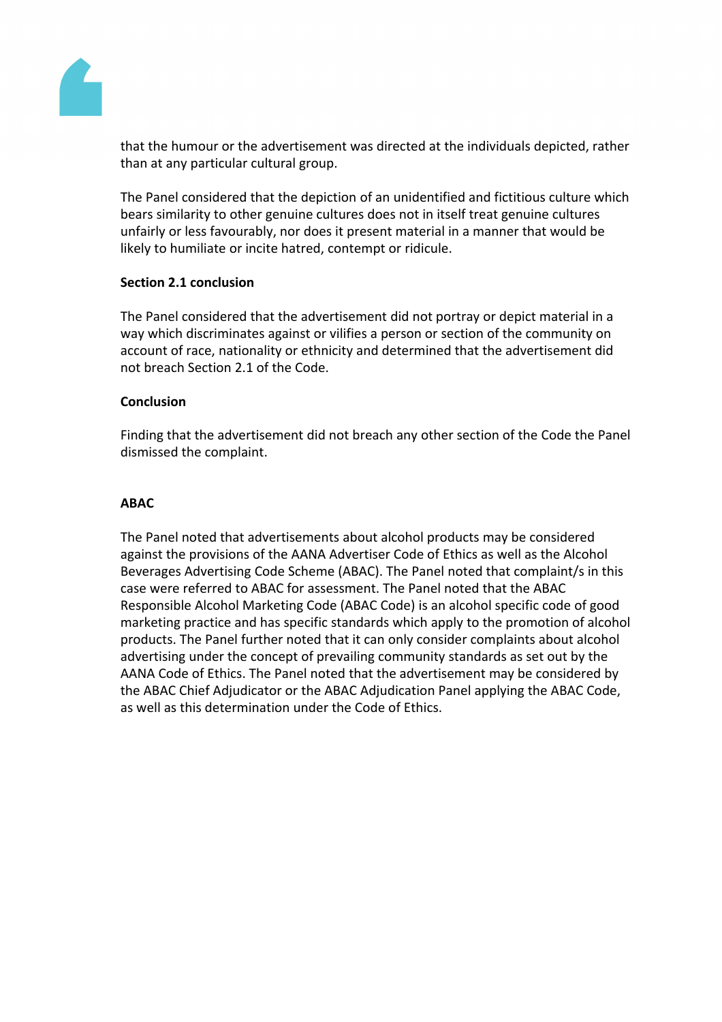

that the humour or the advertisement was directed at the individuals depicted, rather than at any particular cultural group.

The Panel considered that the depiction of an unidentified and fictitious culture which bears similarity to other genuine cultures does not in itself treat genuine cultures unfairly or less favourably, nor does it present material in a manner that would be likely to humiliate or incite hatred, contempt or ridicule.

## **Section 2.1 conclusion**

The Panel considered that the advertisement did not portray or depict material in a way which discriminates against or vilifies a person or section of the community on account of race, nationality or ethnicity and determined that the advertisement did not breach Section 2.1 of the Code.

## **Conclusion**

Finding that the advertisement did not breach any other section of the Code the Panel dismissed the complaint.

## **ABAC**

The Panel noted that advertisements about alcohol products may be considered against the provisions of the AANA Advertiser Code of Ethics as well as the Alcohol Beverages Advertising Code Scheme (ABAC). The Panel noted that complaint/s in this case were referred to ABAC for assessment. The Panel noted that the ABAC Responsible Alcohol Marketing Code (ABAC Code) is an alcohol specific code of good marketing practice and has specific standards which apply to the promotion of alcohol products. The Panel further noted that it can only consider complaints about alcohol advertising under the concept of prevailing community standards as set out by the AANA Code of Ethics. The Panel noted that the advertisement may be considered by the ABAC Chief Adjudicator or the ABAC Adjudication Panel applying the ABAC Code, as well as this determination under the Code of Ethics.